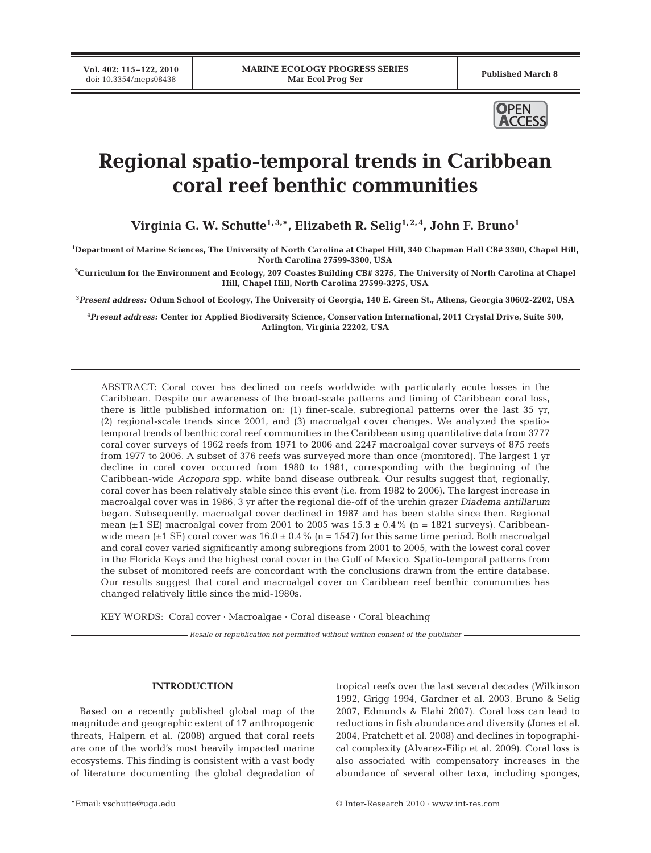**Vol. 402: 115–122, 2010**



# **Regional spatio-temporal trends in Caribbean coral reef benthic communities**

Virginia G. W. Schutte<sup>1,3,\*</sup>, Elizabeth R. Selig<sup>1,2,4</sup>, John F. Bruno<sup>1</sup>

**1 Department of Marine Sciences, The University of North Carolina at Chapel Hill, 340 Chapman Hall CB# 3300, Chapel Hill, North Carolina 27599-3300, USA**

**2 Curriculum for the Environment and Ecology, 207 Coastes Building CB# 3275, The University of North Carolina at Chapel Hill, Chapel Hill, North Carolina 27599-3275, USA**

**3** *Present address:* **Odum School of Ecology, The University of Georgia, 140 E. Green St., Athens, Georgia 30602-2202, USA**

**4** *Present address:* **Center for Applied Biodiversity Science, Conservation International, 2011 Crystal Drive, Suite 500, Arlington, Virginia 22202, USA**

ABSTRACT: Coral cover has declined on reefs worldwide with particularly acute losses in the Caribbean. Despite our awareness of the broad-scale patterns and timing of Caribbean coral loss, there is little published information on: (1) finer-scale, subregional patterns over the last 35 yr, (2) regional-scale trends since 2001, and (3) macroalgal cover changes. We analyzed the spatiotemporal trends of benthic coral reef communities in the Caribbean using quantitative data from 3777 coral cover surveys of 1962 reefs from 1971 to 2006 and 2247 macroalgal cover surveys of 875 reefs from 1977 to 2006. A subset of 376 reefs was surveyed more than once (monitored). The largest 1 yr decline in coral cover occurred from 1980 to 1981, corresponding with the beginning of the Caribbean-wide *Acropora* spp. white band disease outbreak. Our results suggest that, regionally, coral cover has been relatively stable since this event (i.e. from 1982 to 2006). The largest increase in macroalgal cover was in 1986, 3 yr after the regional die-off of the urchin grazer *Diadema antillarum* began. Subsequently, macroalgal cover declined in 1987 and has been stable since then. Regional mean ( $\pm$ 1 SE) macroalgal cover from 2001 to 2005 was  $15.3 \pm 0.4\%$  (n = 1821 surveys). Caribbeanwide mean ( $\pm$ 1 SE) coral cover was 16.0  $\pm$  0.4% (n = 1547) for this same time period. Both macroalgal and coral cover varied significantly among subregions from 2001 to 2005, with the lowest coral cover in the Florida Keys and the highest coral cover in the Gulf of Mexico. Spatio-temporal patterns from the subset of monitored reefs are concordant with the conclusions drawn from the entire database. Our results suggest that coral and macroalgal cover on Caribbean reef benthic communities has changed relatively little since the mid-1980s.

KEY WORDS: Coral cover · Macroalgae · Coral disease · Coral bleaching

*Resale or republication not permitted without written consent of the publisher*

## **INTRODUCTION**

Based on a recently published global map of the magnitude and geographic extent of 17 anthropogenic threats, Halpern et al. (2008) argued that coral reefs are one of the world's most heavily impacted marine ecosystems. This finding is consistent with a vast body of literature documenting the global degradation of tropical reefs over the last several decades (Wilkinson 1992, Grigg 1994, Gardner et al. 2003, Bruno & Selig 2007, Edmunds & Elahi 2007). Coral loss can lead to reductions in fish abundance and diversity (Jones et al. 2004, Pratchett et al. 2008) and declines in topographical complexity (Alvarez-Filip et al. 2009). Coral loss is also associated with compensatory increases in the abundance of several other taxa, including sponges,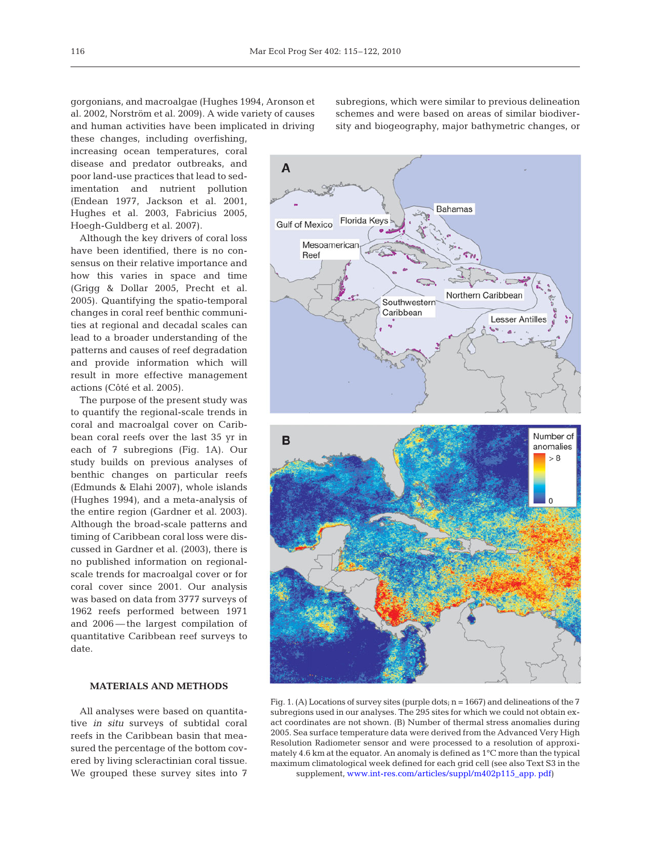gorgonians, and macroalgae (Hughes 1994, Aronson et al. 2002, Norström et al. 2009). A wide variety of causes and human activities have been implicated in driving

these changes, including overfishing, increasing ocean temperatures, coral disease and predator outbreaks, and poor land-use practices that lead to sedimentation and nutrient pollution (Endean 1977, Jackson et al. 2001, Hughes et al. 2003, Fabricius 2005, Hoegh-Guldberg et al. 2007).

Although the key drivers of coral loss have been identified, there is no consensus on their relative importance and how this varies in space and time (Grigg & Dollar 2005, Precht et al. 2005). Quantifying the spatio-temporal changes in coral reef benthic communities at regional and decadal scales can lead to a broader understanding of the patterns and causes of reef degradation and provide information which will result in more effective management actions (Côté et al. 2005).

The purpose of the present study was to quantify the regional-scale trends in coral and macroalgal cover on Caribbean coral reefs over the last 35 yr in each of 7 subregions (Fig. 1A). Our study builds on previous analyses of benthic changes on particular reefs (Edmunds & Elahi 2007), whole islands (Hughes 1994), and a meta-analysis of the entire region (Gardner et al. 2003). Although the broad-scale patterns and timing of Caribbean coral loss were discussed in Gardner et al. (2003), there is no published information on regionalscale trends for macroalgal cover or for coral cover since 2001. Our analysis was based on data from 3777 surveys of 1962 reefs performed between 1971 and 2006 — the largest compilation of quantitative Caribbean reef surveys to date.

## **MATERIALS AND METHODS**

All analyses were based on quantitative *in situ* surveys of subtidal coral reefs in the Caribbean basin that measured the percentage of the bottom covered by living scleractinian coral tissue. We grouped these survey sites into 7 subregions, which were similar to previous delineation schemes and were based on areas of similar biodiversity and biogeography, major bathymetric changes, or



Fig. 1. (A) Locations of survey sites (purple dots;  $n = 1667$ ) and delineations of the 7 subregions used in our analyses. The 295 sites for which we could not obtain exact coordinates are not shown. (B) Number of thermal stress anomalies during 2005. Sea surface temperature data were derived from the Advanced Very High Resolution Radiometer sensor and were processed to a resolution of approximately 4.6 km at the equator. An anomaly is defined as 1°C more than the typical maximum climatological week defined for each grid cell (see also Text S3 in the supplement[, www.int-res.com/articles/suppl/m402p115\\_app. pdf\)](http://www.int-res.com/articles/suppl/m402p115_app.pdf)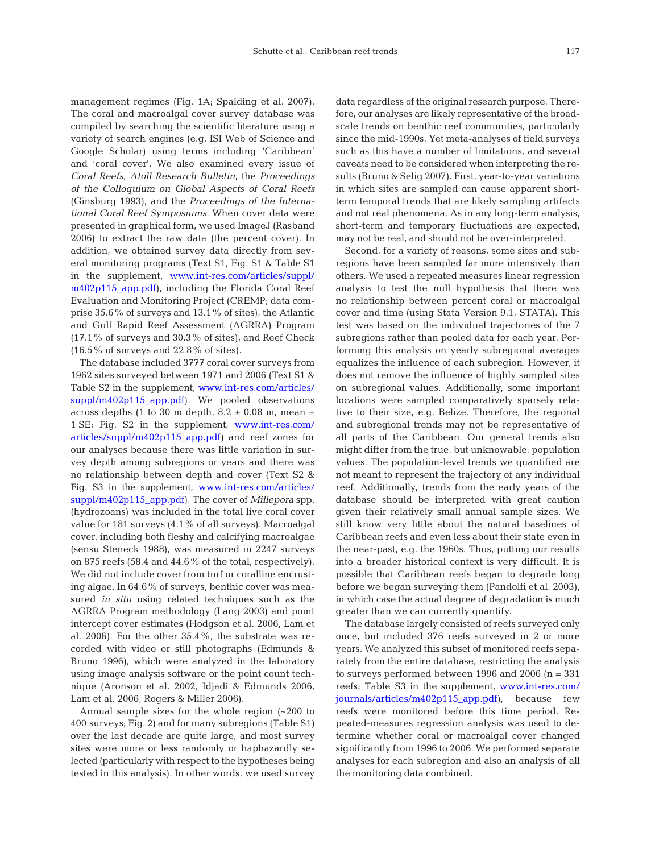management regimes (Fig. 1A; Spalding et al. 2007). The coral and macroalgal cover survey database was compiled by searching the scientific literature using a variety of search engines (e.g. ISI Web of Science and Google Scholar) using terms including 'Caribbean' and 'coral cover'. We also examined every issue of *Coral Reefs*, *Atoll Research Bulletin*, the *Proceedings of the Colloquium on Global Aspects of Coral Reefs* (Ginsburg 1993), and the *Proceedings of the International Coral Reef Symposiums*. When cover data were presented in graphical form, we used ImageJ (Rasband 2006) to extract the raw data (the percent cover). In addition, we obtained survey data directly from several monitoring programs (Text S1, Fig. S1 & Table S1 in the supplement, [www.int-res.com/articles/suppl/](http://www.int-res.com/articles/suppl/m402p115_app.pdf) [m402p115\\_app.pdf\)](http://www.int-res.com/articles/suppl/m402p115_app.pdf), including the Florida Coral Reef Evaluation and Monitoring Project (CREMP; data comprise 35.6% of surveys and 13.1% of sites), the Atlantic and Gulf Rapid Reef Assessment (AGRRA) Program (17.1% of surveys and 30.3% of sites), and Reef Check  $(16.5\% \text{ of surveys and } 22.8\% \text{ of sites}).$ 

The database included 3777 coral cover surveys from 1962 sites surveyed between 1971 and 2006 (Text S1 & Table S2 in the supplement[, www.int-res.com/articles/](http://www.int-res.com/articles/suppl/m402p115_app.pdf) [suppl/m402p115\\_app.pdf](http://www.int-res.com/articles/suppl/m402p115_app.pdf)). We pooled observations across depths (1 to 30 m depth, 8.2  $\pm$  0.08 m, mean  $\pm$ 1 SE; Fig. S2 in the supplement, www.int-res.com/ articles/suppl/m402p115\_app.pdf) and reef zones for our analyses because there was little variation in survey depth among subregions or years and there was no relationship between depth and cover (Text S2 & Fig. S3 in the supplement[, www.int-res.com/articles/](http://www.int-res.com/articles/suppl/m402p115_app.pdf) [suppl/m402p115\\_app.pdf](http://www.int-res.com/articles/suppl/m402p115_app.pdf)). The cover of *Millepora* spp. (hydrozoans) was included in the total live coral cover value for 181 surveys (4.1% of all surveys). Macroalgal cover, including both fleshy and calcifying macroalgae (sensu Steneck 1988), was measured in 2247 surveys on 875 reefs (58.4 and 44.6% of the total, respectively). We did not include cover from turf or coralline encrusting algae. In 64.6% of surveys, benthic cover was measured *in situ* using related techniques such as the AGRRA Program methodology (Lang 2003) and point intercept cover estimates (Hodgson et al. 2006, Lam et al. 2006). For the other 35.4%, the substrate was recorded with video or still photographs (Edmunds & Bruno 1996), which were analyzed in the laboratory using image analysis software or the point count technique (Aronson et al. 2002, Idjadi & Edmunds 2006, Lam et al. 2006, Rogers & Miller 2006).

Annual sample sizes for the whole region (~200 to 400 surveys; Fig. 2) and for many subregions (Table S1) over the last decade are quite large, and most survey sites were more or less randomly or haphazardly selected (particularly with respect to the hypotheses being tested in this analysis). In other words, we used survey data regardless of the original research purpose. Therefore, our analyses are likely representative of the broadscale trends on benthic reef communities, particularly since the mid-1990s. Yet meta-analyses of field surveys such as this have a number of limitations, and several caveats need to be considered when interpreting the results (Bruno & Selig 2007). First, year-to-year variations in which sites are sampled can cause apparent shortterm temporal trends that are likely sampling artifacts and not real phenomena. As in any long-term analysis, short-term and temporary fluctuations are expected, may not be real, and should not be over-interpreted.

Second, for a variety of reasons, some sites and subregions have been sampled far more intensively than others. We used a repeated measures linear regression analysis to test the null hypothesis that there was no relationship between percent coral or macroalgal cover and time (using Stata Version 9.1, STATA). This test was based on the individual trajectories of the 7 subregions rather than pooled data for each year. Performing this analysis on yearly subregional averages equalizes the influence of each subregion. However, it does not remove the influence of highly sampled sites on subregional values. Additionally, some important locations were sampled comparatively sparsely relative to their size, e.g. Belize. Therefore, the regional and subregional trends may not be representative of all parts of the Caribbean. Our general trends also might differ from the true, but unknowable, population values. The population-level trends we quantified are not meant to represent the trajectory of any individual reef. Additionally, trends from the early years of the database should be interpreted with great caution given their relatively small annual sample sizes. We still know very little about the natural baselines of Caribbean reefs and even less about their state even in the near-past, e.g. the 1960s. Thus, putting our results into a broader historical context is very difficult. It is possible that Caribbean reefs began to degrade long before we began surveying them (Pandolfi et al. 2003), in which case the actual degree of degradation is much greater than we can currently quantify.

The database largely consisted of reefs surveyed only once, but included 376 reefs surveyed in 2 or more years. We analyzed this subset of monitored reefs separately from the entire database, restricting the analysis to surveys performed between 1996 and 2006  $(n = 331)$ reefs; Table S3 in the supplement[, www.int-res.com/](http://www.int-res.com/articles/suppl/m402p115_app.pdf) [journals/articles/m402p115\\_app.pdf\)](http://www.int-res.com/articles/suppl/m402p115_app.pdf), because few reefs were monitored before this time period. Repeated-measures regression analysis was used to determine whether coral or macroalgal cover changed significantly from 1996 to 2006. We performed separate analyses for each subregion and also an analysis of all the monitoring data combined.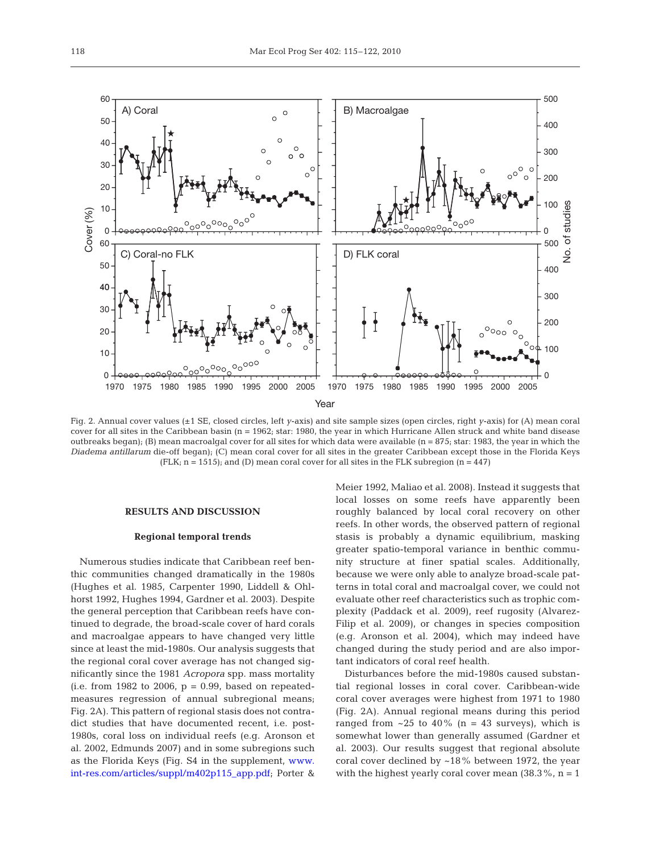

Fig. 2. Annual cover values (±1 SE, closed circles, left *y*-axis) and site sample sizes (open circles, right *y*-axis) for (A) mean coral cover for all sites in the Caribbean basin ( $n = 1962$ ; star: 1980, the year in which Hurricane Allen struck and white band disease outbreaks began); (B) mean macroalgal cover for all sites for which data were available (n = 875; star: 1983, the year in which the *Diadema antillarum* die-off began); (C) mean coral cover for all sites in the greater Caribbean except those in the Florida Keys (FLK;  $n = 1515$ ); and (D) mean coral cover for all sites in the FLK subregion ( $n = 447$ )

#### **RESULTS AND DISCUSSION**

#### **Regional temporal trends**

Numerous studies indicate that Caribbean reef benthic communities changed dramatically in the 1980s (Hughes et al. 1985, Carpenter 1990, Liddell & Ohlhorst 1992, Hughes 1994, Gardner et al. 2003). Despite the general perception that Caribbean reefs have continued to degrade, the broad-scale cover of hard corals and macroalgae appears to have changed very little since at least the mid-1980s. Our analysis suggests that the regional coral cover average has not changed significantly since the 1981 *Acropora* spp. mass mortality (i.e. from 1982 to 2006,  $p = 0.99$ , based on repeatedmeasures regression of annual subregional means; Fig. 2A). This pattern of regional stasis does not contradict studies that have documented recent, i.e. post-1980s, coral loss on individual reefs (e.g. Aronson et al. 2002, Edmunds 2007) and in some subregions such as the Florida Keys (Fig. S4 in the supplement[, www.](http://www.int-res.com/articles/suppl/m402p115_app.pdf) [int-res.com/articles/suppl/m402p115\\_app.pdf;](http://www.int-res.com/articles/suppl/m402p115_app.pdf) Porter &

Meier 1992, Maliao et al. 2008). Instead it suggests that local losses on some reefs have apparently been roughly balanced by local coral recovery on other reefs. In other words, the observed pattern of regional stasis is probably a dynamic equilibrium, masking greater spatio-temporal variance in benthic community structure at finer spatial scales. Additionally, because we were only able to analyze broad-scale patterns in total coral and macroalgal cover, we could not evaluate other reef characteristics such as trophic complexity (Paddack et al. 2009), reef rugosity (Alvarez-Filip et al. 2009), or changes in species composition (e.g. Aronson et al. 2004), which may indeed have changed during the study period and are also important indicators of coral reef health.

Disturbances before the mid-1980s caused substantial regional losses in coral cover. Caribbean-wide coral cover averages were highest from 1971 to 1980 (Fig. 2A). Annual regional means during this period ranged from  $\sim$  25 to 40% (n = 43 surveys), which is somewhat lower than generally assumed (Gardner et al. 2003). Our results suggest that regional absolute coral cover declined by ~18% between 1972, the year with the highest yearly coral cover mean  $(38.3\%, n = 1)$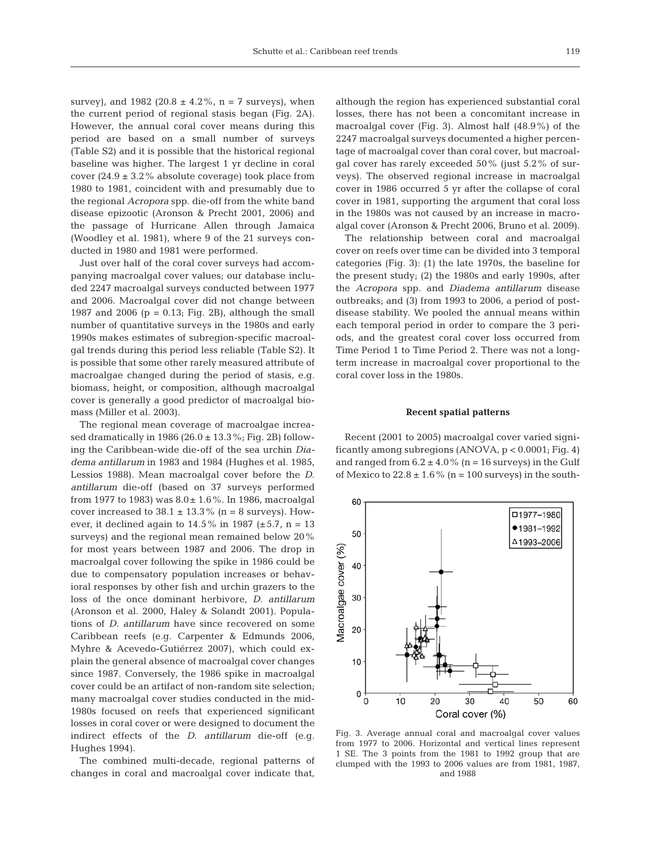survey), and 1982 (20.8  $\pm$  4.2%, n = 7 surveys), when the current period of regional stasis began (Fig. 2A). However, the annual coral cover means during this period are based on a small number of surveys (Table S2) and it is possible that the historical regional baseline was higher. The largest 1 yr decline in coral cover  $(24.9 \pm 3.2\%$  absolute coverage) took place from 1980 to 1981, coincident with and presumably due to the regional *Acropora* spp. die-off from the white band disease epizootic (Aronson & Precht 2001, 2006) and the passage of Hurricane Allen through Jamaica (Woodley et al. 1981), where 9 of the 21 surveys conducted in 1980 and 1981 were performed.

Just over half of the coral cover surveys had accompanying macroalgal cover values; our database included 2247 macroalgal surveys conducted between 1977 and 2006. Macroalgal cover did not change between 1987 and 2006 ( $p = 0.13$ ; Fig. 2B), although the small number of quantitative surveys in the 1980s and early 1990s makes estimates of subregion-specific macroalgal trends during this period less reliable (Table S2). It is possible that some other rarely measured attribute of macroalgae changed during the period of stasis, e.g. biomass, height, or composition, although macroalgal cover is generally a good predictor of macroalgal biomass (Miller et al. 2003).

The regional mean coverage of macroalgae increased dramatically in 1986 (26.0  $\pm$  13.3%; Fig. 2B) following the Caribbean-wide die-off of the sea urchin *Diadema antillarum* in 1983 and 1984 (Hughes et al. 1985, Lessios 1988). Mean macroalgal cover before the *D*. *antillarum* die-off (based on 37 surveys performed from 1977 to 1983) was 8.0± 1.6%. In 1986, macroalgal cover increased to  $38.1 \pm 13.3\%$  (n = 8 surveys). However, it declined again to  $14.5\%$  in 1987 (±5.7, n = 13 surveys) and the regional mean remained below 20% for most years between 1987 and 2006. The drop in macroalgal cover following the spike in 1986 could be due to compensatory population increases or behavioral responses by other fish and urchin grazers to the loss of the once dominant herbivore, *D*. *antillarum* (Aronson et al. 2000, Haley & Solandt 2001). Populations of *D*. *antillarum* have since recovered on some Caribbean reefs (e.g. Carpenter & Edmunds 2006, Myhre & Acevedo-Gutiérrez 2007), which could explain the general absence of macroalgal cover changes since 1987. Conversely, the 1986 spike in macroalgal cover could be an artifact of non-random site selection; many macroalgal cover studies conducted in the mid-1980s focused on reefs that experienced significant losses in coral cover or were designed to document the indirect effects of the *D*. *antillarum* die-off (e.g. Hughes 1994).

The combined multi-decade, regional patterns of changes in coral and macroalgal cover indicate that, although the region has experienced substantial coral losses, there has not been a concomitant increase in macroalgal cover (Fig. 3). Almost half (48.9%) of the 2247 macroalgal surveys documented a higher percentage of macroalgal cover than coral cover, but macroalgal cover has rarely exceeded 50% (just 5.2% of surveys). The observed regional increase in macroalgal cover in 1986 occurred 5 yr after the collapse of coral cover in 1981, supporting the argument that coral loss in the 1980s was not caused by an increase in macroalgal cover (Aronson & Precht 2006, Bruno et al. 2009).

The relationship between coral and macroalgal cover on reefs over time can be divided into 3 temporal categories (Fig. 3): (1) the late 1970s, the baseline for the present study; (2) the 1980s and early 1990s, after the *Acropora* spp. and *Diadema antillarum* disease outbreaks; and (3) from 1993 to 2006, a period of postdisease stability. We pooled the annual means within each temporal period in order to compare the 3 periods, and the greatest coral cover loss occurred from Time Period 1 to Time Period 2. There was not a longterm increase in macroalgal cover proportional to the coral cover loss in the 1980s.

#### **Recent spatial patterns**

Recent (2001 to 2005) macroalgal cover varied significantly among subregions (ANOVA, p < 0.0001; Fig. 4) and ranged from  $6.2 \pm 4.0\%$  (n = 16 surveys) in the Gulf of Mexico to  $22.8 \pm 1.6\%$  (n = 100 surveys) in the south-



Fig. 3. Average annual coral and macroalgal cover values from 1977 to 2006. Horizontal and vertical lines represent 1 SE. The 3 points from the 1981 to 1992 group that are clumped with the 1993 to 2006 values are from 1981, 1987, and 1988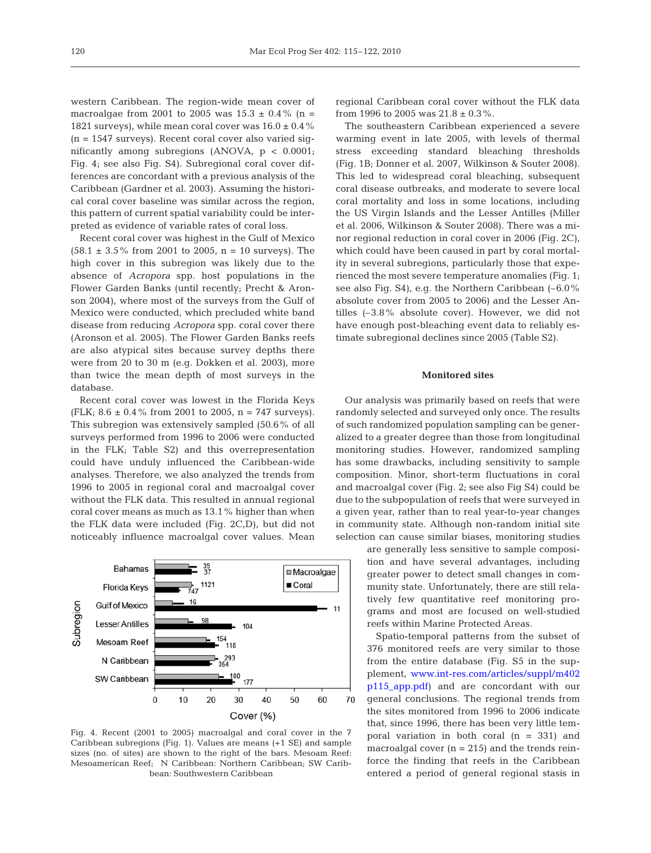western Caribbean. The region-wide mean cover of macroalgae from 2001 to 2005 was  $15.3 \pm 0.4\%$  (n = 1821 surveys), while mean coral cover was  $16.0 \pm 0.4$  % (n = 1547 surveys). Recent coral cover also varied significantly among subregions (ANOVA, p < 0.0001; Fig. 4; see also Fig. S4). Subregional coral cover differences are concordant with a previous analysis of the Caribbean (Gardner et al. 2003). Assuming the historical coral cover baseline was similar across the region, this pattern of current spatial variability could be interpreted as evidence of variable rates of coral loss.

Recent coral cover was highest in the Gulf of Mexico  $(58.1 \pm 3.5\%$  from 2001 to 2005, n = 10 surveys). The high cover in this subregion was likely due to the absence of *Acropora* spp. host populations in the Flower Garden Banks (until recently; Precht & Aronson 2004), where most of the surveys from the Gulf of Mexico were conducted, which precluded white band disease from reducing *Acropora* spp. coral cover there (Aronson et al. 2005). The Flower Garden Banks reefs are also atypical sites because survey depths there were from 20 to 30 m (e.g. Dokken et al. 2003), more than twice the mean depth of most surveys in the database.

Recent coral cover was lowest in the Florida Keys (FLK;  $8.6 \pm 0.4$ % from 2001 to 2005, n = 747 surveys). This subregion was extensively sampled (50.6% of all surveys performed from 1996 to 2006 were conducted in the FLK; Table S2) and this overrepresentation could have unduly influenced the Caribbean-wide analyses. Therefore, we also analyzed the trends from 1996 to 2005 in regional coral and macroalgal cover without the FLK data. This resulted in annual regional coral cover means as much as 13.1% higher than when the FLK data were included (Fig. 2C,D), but did not noticeably influence macroalgal cover values. Mean



Fig. 4. Recent (2001 to 2005) macroalgal and coral cover in the 7 Caribbean subregions (Fig. 1). Values are means (+1 SE) and sample sizes (no. of sites) are shown to the right of the bars. Mesoam Reef: Mesoamerican Reef; N Caribbean: Northern Caribbean; SW Caribbean: Southwestern Caribbean

regional Caribbean coral cover without the FLK data from 1996 to 2005 was  $21.8 \pm 0.3\%$ .

The southeastern Caribbean experienced a severe warming event in late 2005, with levels of thermal stress exceeding standard bleaching thresholds (Fig. 1B; Donner et al. 2007, Wilkinson & Souter 2008). This led to widespread coral bleaching, subsequent coral disease outbreaks, and moderate to severe local coral mortality and loss in some locations, including the US Virgin Islands and the Lesser Antilles (Miller et al. 2006, Wilkinson & Souter 2008). There was a minor regional reduction in coral cover in 2006 (Fig. 2C), which could have been caused in part by coral mortality in several subregions, particularly those that experienced the most severe temperature anomalies (Fig. 1; see also Fig. S4), e.g. the Northern Caribbean (–6.0% absolute cover from 2005 to 2006) and the Lesser Antilles (–3.8% absolute cover). However, we did not have enough post-bleaching event data to reliably estimate subregional declines since 2005 (Table S2).

## **Monitored sites**

Our analysis was primarily based on reefs that were randomly selected and surveyed only once. The results of such randomized population sampling can be generalized to a greater degree than those from longitudinal monitoring studies. However, randomized sampling has some drawbacks, including sensitivity to sample composition. Minor, short-term fluctuations in coral and macroalgal cover (Fig. 2; see also Fig S4) could be due to the subpopulation of reefs that were surveyed in a given year, rather than to real year-to-year changes in community state. Although non-random initial site selection can cause similar biases, monitoring studies

> are generally less sensitive to sample composition and have several advantages, including greater power to detect small changes in community state. Unfortunately, there are still relatively few quantitative reef monitoring programs and most are focused on well-studied reefs within Marine Protected Areas.

> Spatio-temporal patterns from the subset of 376 monitored reefs are very similar to those from the entire database (Fig. S5 in the supplement[, www.int-res.com/articles/suppl/m402](http://www.int-res.com/articles/suppl/m402p115_app.pdf) [p115\\_app.pdf\)](http://www.int-res.com/articles/suppl/m402p115_app.pdf) and are concordant with our general conclusions. The regional trends from the sites monitored from 1996 to 2006 indicate that, since 1996, there has been very little temporal variation in both coral (n = 331) and macroalgal cover  $(n = 215)$  and the trends reinforce the finding that reefs in the Caribbean entered a period of general regional stasis in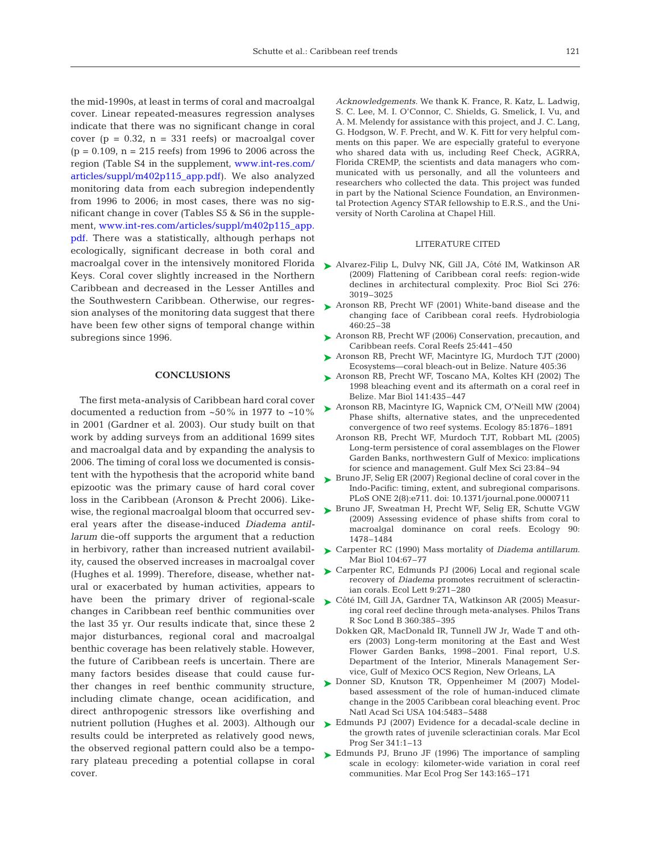the mid-1990s, at least in terms of coral and macroalgal cover. Linear repeated-measures regression analyses indicate that there was no significant change in coral cover ( $p = 0.32$ ,  $n = 331$  reefs) or macroalgal cover  $(p = 0.109, n = 215 \text{ reefs})$  from 1996 to 2006 across the region (Table S4 in the supplement[, www.int-res.com/](http://www.int-res.com/articles/suppl/m402p115_app.pdf) [articles/suppl/m402p115\\_app.pdf\).](http://www.int-res.com/articles/suppl/m402p115_app.pdf) We also analyzed monitoring data from each subregion independently from 1996 to 2006; in most cases, there was no significant change in cover (Tables S5 & S6 in the supplement, [www.int-res.com/articles/suppl/m402p115\\_app.](http://www.int-res.com/articles/suppl/m402p115_app.pdf) [pdf. T](http://www.int-res.com/articles/suppl/m402p115_app.pdf)here was a statistically, although perhaps not ecologically, significant decrease in both coral and macroalgal cover in the intensively monitored Florida Keys. Coral cover slightly increased in the Northern Caribbean and decreased in the Lesser Antilles and the Southwestern Caribbean. Otherwise, our regression analyses of the monitoring data suggest that there have been few other signs of temporal change within subregions since 1996.

## **CONCLUSIONS**

The first meta-analysis of Caribbean hard coral cover documented a reduction from ~50% in 1977 to ~10% in 2001 (Gardner et al. 2003). Our study built on that work by adding surveys from an additional 1699 sites and macroalgal data and by expanding the analysis to 2006. The timing of coral loss we documented is consistent with the hypothesis that the acroporid white band epizootic was the primary cause of hard coral cover loss in the Caribbean (Aronson & Precht 2006). Likewise, the regional macroalgal bloom that occurred several years after the disease-induced *Diadema antillarum* die-off supports the argument that a reduction in herbivory, rather than increased nutrient availability, caused the observed increases in macroalgal cover (Hughes et al. 1999). Therefore, disease, whether natural or exacerbated by human activities, appears to have been the primary driver of regional-scale changes in Caribbean reef benthic communities over the last 35 yr. Our results indicate that, since these 2 major disturbances, regional coral and macroalgal benthic coverage has been relatively stable. However, the future of Caribbean reefs is uncertain. There are many factors besides disease that could cause further changes in reef benthic community structure, including climate change, ocean acidification, and direct anthropogenic stressors like overfishing and nutrient pollution (Hughes et al. 2003). Although our results could be interpreted as relatively good news, the observed regional pattern could also be a temporary plateau preceding a potential collapse in coral cover.

*Acknowledgements.* We thank K. France, R. Katz, L. Ladwig, S. C. Lee, M. I. O'Connor, C. Shields, G. Smelick, I. Vu, and A. M. Melendy for assistance with this project, and J. C. Lang, G. Hodgson, W. F. Precht, and W. K. Fitt for very helpful comments on this paper. We are especially grateful to everyone who shared data with us, including Reef Check, AGRRA, Florida CREMP, the scientists and data managers who communicated with us personally, and all the volunteers and researchers who collected the data. This project was funded in part by the National Science Foundation, an Environmental Protection Agency STAR fellowship to E.R.S., and the University of North Carolina at Chapel Hill.

## LITERATURE CITED

- ► Alvarez-Filip L, Dulvy NK, Gill JA, Côté IM, Watkinson AR (2009) Flattening of Caribbean coral reefs: region-wide declines in architectural complexity. Proc Biol Sci 276: 3019–3025
- ► Aronson RB, Precht WF (2001) White-band disease and the changing face of Caribbean coral reefs. Hydrobiologia 460:25–38
- ► Aronson RB, Precht WF (2006) Conservation, precaution, and Caribbean reefs. Coral Reefs 25:441–450
- ► Aronson RB, Precht WF, Macintyre IG, Murdoch TJT (2000) Ecosystems—coral bleach-out in Belize. Nature 405:36
- ▶ Aronson RB, Precht WF, Toscano MA, Koltes KH (2002) The 1998 bleaching event and its aftermath on a coral reef in Belize. Mar Biol 141:435–447
- ► Aronson RB, Macintyre IG, Wapnick CM, O'Neill MW (2004) Phase shifts, alternative states, and the unprecedented convergence of two reef systems. Ecology 85:1876–1891
	- Aronson RB, Precht WF, Murdoch TJT, Robbart ML (2005) Long-term persistence of coral assemblages on the Flower Garden Banks, northwestern Gulf of Mexico: implications for science and management. Gulf Mex Sci 23:84–94
- ► Bruno JF, Selig ER (2007) Regional decline of coral cover in the Indo-Pacific: timing, extent, and subregional comparisons. PLoS ONE 2(8):e711. doi: 10.1371/journal.pone.0000711
- ▶ Bruno JF, Sweatman H, Precht WF, Selig ER, Schutte VGW (2009) Assessing evidence of phase shifts from coral to macroalgal dominance on coral reefs. Ecology 90: 1478–1484
- Carpenter RC (1990) Mass mortality of *Diadema antillarum.* ➤ Mar Biol 104:67–77
- ► Carpenter RC, Edmunds PJ (2006) Local and regional scale recovery of *Diadema* promotes recruitment of scleractinian corals. Ecol Lett 9:271–280
- Côté IM, Gill JA, Gardner TA, Watkinson AR (2005) Measur-➤ ing coral reef decline through meta-analyses. Philos Trans R Soc Lond B 360:385–395
	- Dokken QR, MacDonald IR, Tunnell JW Jr, Wade T and others (2003) Long-term monitoring at the East and West Flower Garden Banks, 1998–2001. Final report, U.S. Department of the Interior, Minerals Management Service, Gulf of Mexico OCS Region, New Orleans, LA
- Donner SD, Knutson TR, Oppenheimer M (2007) Model-➤ based assessment of the role of human-induced climate change in the 2005 Caribbean coral bleaching event. Proc Natl Acad Sci USA 104:5483–5488
- ► Edmunds PJ (2007) Evidence for a decadal-scale decline in the growth rates of juvenile scleractinian corals. Mar Ecol Prog Ser 341:1–13
- ► Edmunds PJ, Bruno JF (1996) The importance of sampling scale in ecology: kilometer-wide variation in coral reef communities. Mar Ecol Prog Ser 143:165–171